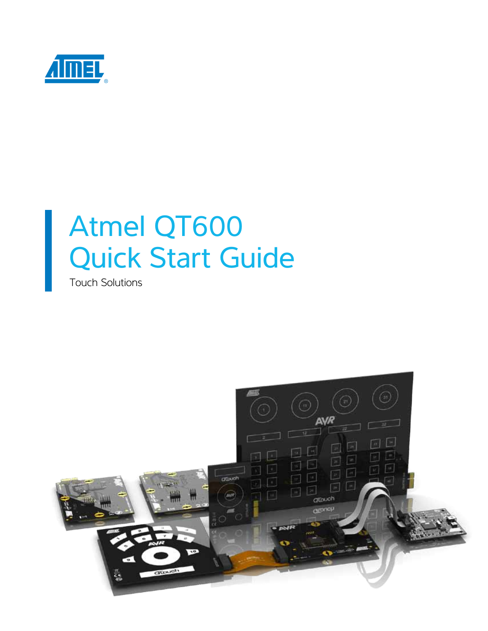

Touch Solutions

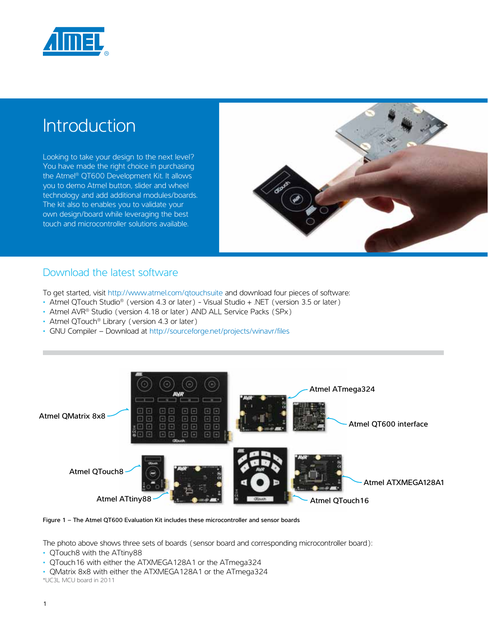

# **Introduction**

Looking to take your design to the next level? You have made the right choice in purchasing the Atmel® QT600 Development Kit. It allows you to demo Atmel button, slider and wheel technology and add additional modules/boards. The kit also to enables you to validate your own design/board while leveraging the best touch and microcontroller solutions available.



### Download the latest software

To get started, visit http://www.atmel.com/qtouchsuite and download four pieces of software:

- Atmel QTouch Studio® (version 4.3 or later) Visual Studio + .NET (version 3.5 or later)
- Atmel AVR® Studio (version 4.18 or later) AND ALL Service Packs (SPx)
- Atmel QTouch® Library (version 4.3 or later)
- GNU Compiler Download at http://sourceforge.net/projects/winavr/files





The photo above shows three sets of boards (sensor board and corresponding microcontroller board):

- QTouch8 with the ATtiny88
- QTouch16 with either the ATXMEGA128A1 or the ATmega324
- QMatrix 8x8 with either the ATXMEGA128A1 or the ATmega324

\*UC3L MCU board in 2011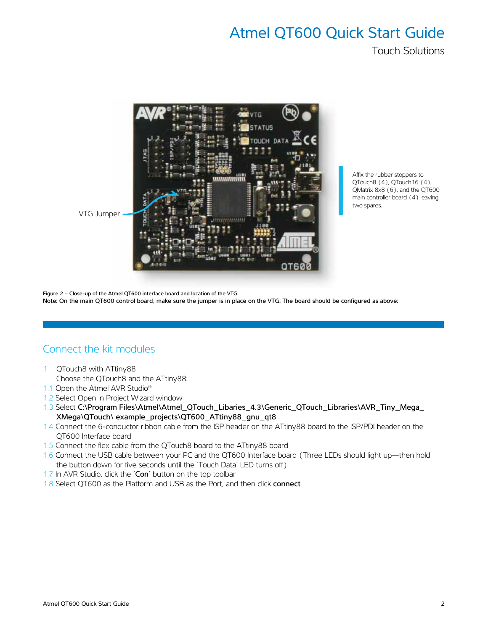Touch Solutions



Affix the rubber stoppers to QTouch8 (4), QTouch16 (4), QMatrix 8x8 (6), and the QT600 main controller board (4) leaving two spares.

Figure 2 – Close-up of the Atmel QT600 interface board and location of the VTG Note: On the main QT600 control board, make sure the jumper is in place on the VTG. The board should be configured as above:

### Connect the kit modules

- 1 QTouch8 with ATtiny88 Choose the QTouch8 and the ATtiny88:
- 1.1 Open the Atmel AVR Studio®
- 1.2 Select Open in Project Wizard window
- 1.3 Select C:\Program Files\Atmel\Atmel\_QTouch\_Libaries\_4.3\Generic\_QTouch\_Libraries\AVR\_Tiny\_Mega\_ XMega\QTouch\ example\_projects\QT600\_ATtiny88\_gnu\_qt8
- 1.4 Connect the 6-conductor ribbon cable from the ISP header on the ATtiny88 board to the ISP/PDI header on the QT600 Interface board
- 1.5 Connect the flex cable from the QTouch8 board to the ATtiny88 board
- 1.6 Connect the USB cable between your PC and the QT600 Interface board (Three LEDs should light up—then hold the button down for five seconds until the 'Touch Data' LED turns off)
- 1.7 In AVR Studio, click the 'Con' button on the top toolbar
- 1.8 Select QT600 as the Platform and USB as the Port, and then click connect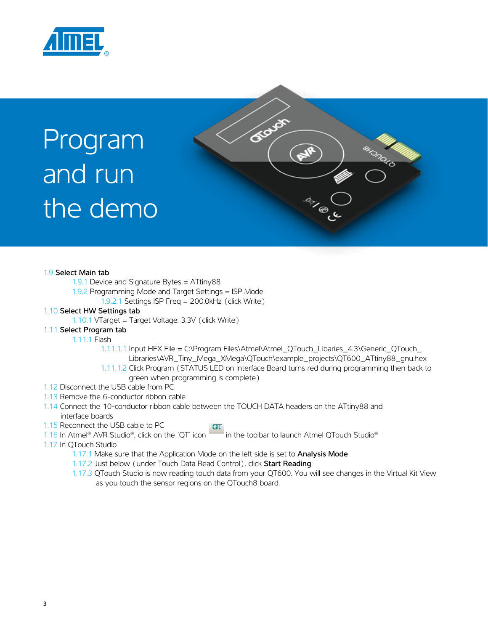



### 1.9 Select Main tab

- 1.9.1 Device and Signature Bytes = ATtiny88
- 1.9.2 Programming Mode and Target Settings = ISP Mode
- 1.9.2.1 Settings ISP Freq = 200.0kHz (click Write)

### 1.10 Select HW Settings tab

1.10.1 VTarget = Target Voltage: 3.3V (click Write)

### 1.11 Select Program tab

### 1.11.1 Flash

- 1.11.1.1 Input HEX File = C:\Program Files\Atmel\Atmel\_QTouch\_Libaries\_4.3\Generic\_QTouch\_ Libraries\AVR\_Tiny\_Mega\_XMega\QTouch\example\_projects\QT600\_ATtiny88\_gnu.hex 1.11.1.2 Click Program (STATUS LED on Interface Board turns red during programming then back to green when programming is complete)
- 1.12 Disconnect the USB cable from PC
- 1.13 Remove the 6-conductor ribbon cable
- 1.14 Connect the 10-conductor ribbon cable between the TOUCH DATA headers on the ATtiny88 and interface boards

1.15 Reconnect the USB cable to PC

- 1.16 In Atmel® AVR Studio®, click on the 'QT' icon in the toolbar to launch Atmel QTouch Studio®
- 1.17 In QTouch Studio
	- 1.17.1 Make sure that the Application Mode on the left side is set to Analysis Mode
	- 1.17.2 Just below (under Touch Data Read Control), click Start Reading
	- 1.17.3 QTouch Studio is now reading touch data from your QT600. You will see changes in the Virtual Kit View as you touch the sensor regions on the QTouch8 board.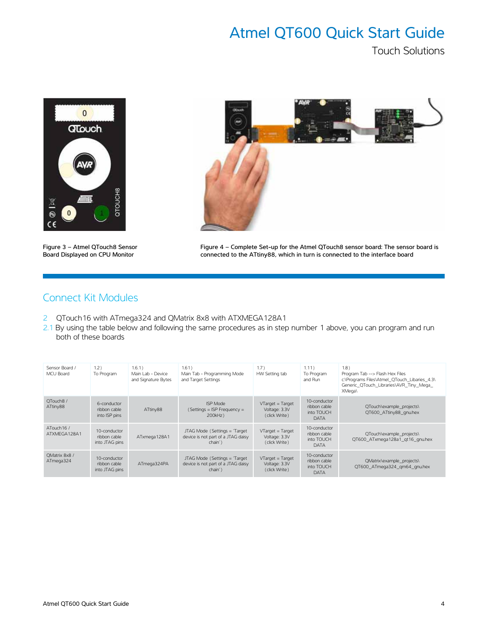Touch Solutions



Figure 3 – Atmel QTouch8 Sensor Board Displayed on CPU Monitor



Figure 4 – Complete Set-up for the Atmel QTouch8 sensor board: The sensor board is connected to the ATtiny88, which in turn is connected to the interface board

### Connect Kit Modules

- 2 QTouch16 with ATmega324 and QMatrix 8x8 with ATXMEGA128A1
- 2.1 By using the table below and following the same procedures as in step number 1 above, you can program and run both of these boards

| Sensor Board /<br>MCU Board | 1.2)<br>To Program                             | 1.6.1)<br>Main Lab - Device<br>and Signature Bytes | 1.61)<br>Main Tab - Programming Mode<br>and Target Settings                                 | 1.7)<br>HW Setting tab                                               | $1.11$ )<br>To Program<br>and Run                         | 1.8)<br>Program Tab --> Flash Hex Files<br>c:\Programs Files\Atmel QTouch Libaries 4.3\<br>Generic QTouch Libraries\AVR Tiny Mega<br>XMega\ |
|-----------------------------|------------------------------------------------|----------------------------------------------------|---------------------------------------------------------------------------------------------|----------------------------------------------------------------------|-----------------------------------------------------------|---------------------------------------------------------------------------------------------------------------------------------------------|
| QTouch8/<br>ATtiny88        | 6-conductor<br>ribbon cable<br>into ISP pins   | ATtiny88                                           | <b>ISP Mode</b><br>$Settings = ISP Frequency =$<br>200kHz)                                  | $VT \text{arget} = T \text{arget}$<br>Voltage: 3.3V<br>(click Write) | 10-conductor<br>ribbon cable<br>into TOUCH<br><b>DATA</b> | QTouch\example projects\<br>QT600_ATtiny88_gnu.hex                                                                                          |
| ATouch 16 /<br>ATXMEGA128A1 | 10-conductor<br>ribbon cable<br>into JTAG pins | ATxmega128A1                                       | JTAG Mode (Settings = 'Target<br>device is not part of a JTAG daisy<br>chain <sup>()</sup>  | $VTarget = Target$<br>Voltage: 3.3V<br>(click Write)                 | 10-conductor<br>ribbon cable<br>into TOUCH<br><b>DATA</b> | QTouch\example projects\<br>QT600 ATxmega128a1 gt16 gnu.hex                                                                                 |
| QMatrix 8x8 /<br>ATmega324  | 10-conductor<br>ribbon cable<br>into JTAG pins | ATmega324PA                                        | JTAG Mode (Settings = 'Target<br>device is not part of a JTAG daisy<br>chain <sup>(1)</sup> | $VT \text{arget} = T \text{arget}$<br>Voltage: 3.3V<br>(click Write) | 10-conductor<br>ribbon cable<br>into TOUCH<br><b>DATA</b> | QMatrix\example projects\<br>QT600 ATmega324 gm64 gnu.hex                                                                                   |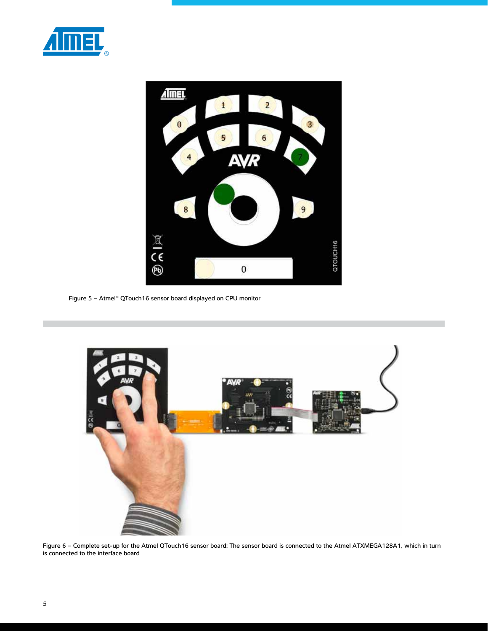



Figure 5 – Atmel® QTouch16 sensor board displayed on CPU monitor



Figure 6 – Complete set-up for the Atmel QTouch16 sensor board: The sensor board is connected to the Atmel ATXMEGA128A1, which in turn is connected to the interface board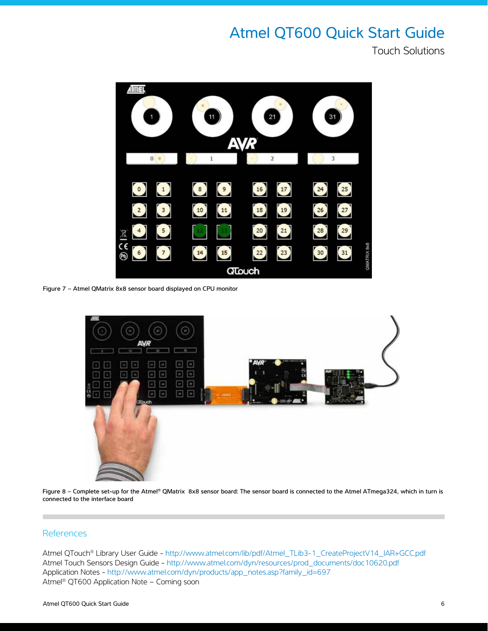Touch Solutions



Figure 7 – Atmel QMatrix 8x8 sensor board displayed on CPU monitor



Figure 8 - Complete set-up for the Atmel® QMatrix 8x8 sensor board: The sensor board is connected to the Atmel ATmega324, which in turn is connected to the interface board

### **References**

Atmel QTouch® Library User Guide - http://www.atmel.com/lib/pdf/Atmel\_TLib3-1\_CreateProjectV14\_IAR+GCC.pdf Atmel Touch Sensors Design Guide - http://www.atmel.com/dyn/resources/prod\_documents/doc10620.pdf Application Notes - http://www.atmel.com/dyn/products/app\_notes.asp?family\_id=697 Atmel® QT600 Application Note – Coming soon